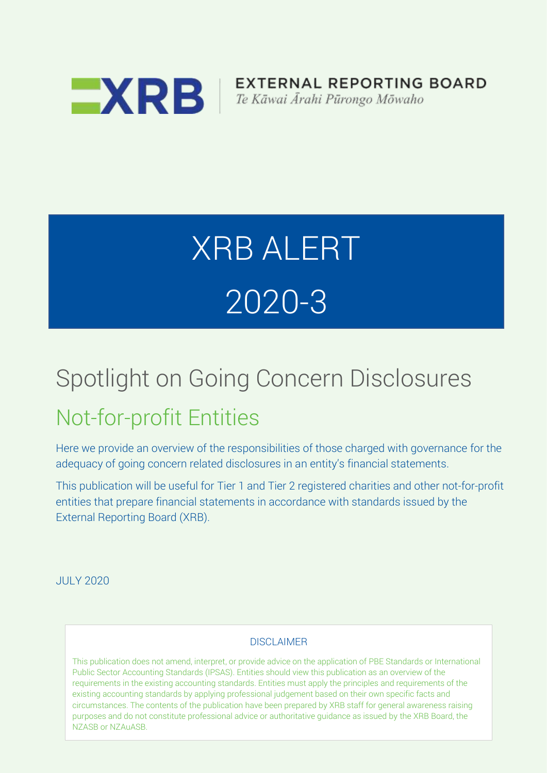

**EXTERNAL REPORTING BOARD** Te Kāwai Ārahi Pūrongo Mōwaho

# XRB ALERT 2020-3

## Spotlight on Going Concern Disclosures

### Not-for-profit Entities

Here we provide an overview of the responsibilities of those charged with governance for the adequacy of going concern related disclosures in an entity's financial statements.

This publication will be useful for Tier 1 and Tier 2 registered charities and other not-for-profit entities that prepare financial statements in accordance with standards issued by the External Reporting Board (XRB).

JULY 2020

#### DISCLAIMER

This publication does not amend, interpret, or provide advice on the application of PBE Standards or International Public Sector Accounting Standards (IPSAS). Entities should view this publication as an overview of the requirements in the existing accounting standards. Entities must apply the principles and requirements of the existing accounting standards by applying professional judgement based on their own specific facts and circumstances. The contents of the publication have been prepared by XRB staff for general awareness raising purposes and do not constitute professional advice or authoritative guidance as issued by the XRB Board, the NZASB or NZAuASB.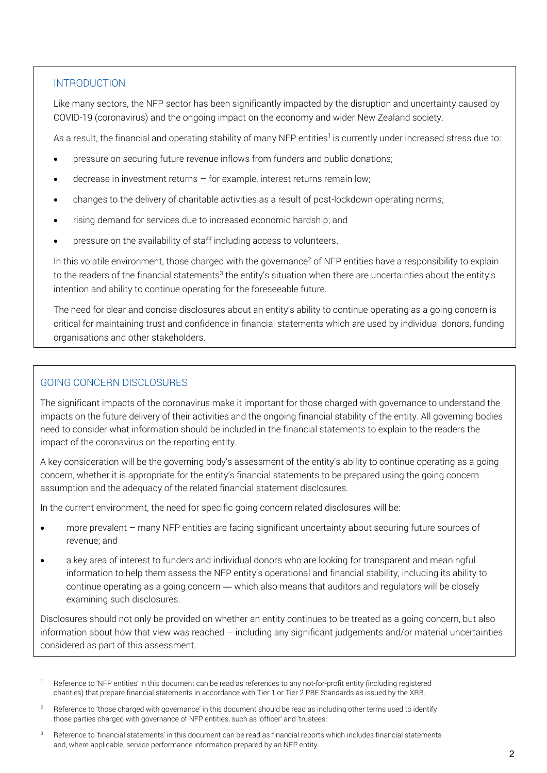#### **INTRODUCTION**

Like many sectors, the NFP sector has been significantly impacted by the disruption and uncertainty caused by COVID-19 (coronavirus) and the ongoing impact on the economy and wider New Zealand society.

As a result, the financial and operating stability of many NFP entities<sup>1</sup> is currently under increased stress due to:

- pressure on securing future revenue inflows from funders and public donations;
- decrease in investment returns for example, interest returns remain low;
- changes to the delivery of charitable activities as a result of post-lockdown operating norms;
- rising demand for services due to increased economic hardship; and
- pressure on the availability of staff including access to volunteers.

In this volatile environment, those charged with the governance<sup>2</sup> of NFP entities have a responsibility to explain to the readers of the financial statements<sup>3</sup> the entity's situation when there are uncertainties about the entity's intention and ability to continue operating for the foreseeable future.

The need for clear and concise disclosures about an entity's ability to continue operating as a going concern is critical for maintaining trust and confidence in financial statements which are used by individual donors, funding organisations and other stakeholders.

#### GOING CONCERN DISCLOSURES

The significant impacts of the coronavirus make it important for those charged with governance to understand the impacts on the future delivery of their activities and the ongoing financial stability of the entity. All governing bodies need to consider what information should be included in the financial statements to explain to the readers the impact of the coronavirus on the reporting entity.

A key consideration will be the governing body's assessment of the entity's ability to continue operating as a going concern, whether it is appropriate for the entity's financial statements to be prepared using the going concern assumption and the adequacy of the related financial statement disclosures.

In the current environment, the need for specific going concern related disclosures will be:

- more prevalent many NFP entities are facing significant uncertainty about securing future sources of revenue; and
- a key area of interest to funders and individual donors who are looking for transparent and meaningful information to help them assess the NFP entity's operational and financial stability, including its ability to continue operating as a going concern — which also means that auditors and regulators will be closely examining such disclosures.

Disclosures should not only be provided on whether an entity continues to be treated as a going concern, but also information about how that view was reached – including any significant judgements and/or material uncertainties considered as part of this assessment.

- Reference to 'NFP entities' in this document can be read as references to any not-for-profit entity (including registered charities) that prepare financial statements in accordance with Tier 1 or Tier 2 PBE Standards as issued by the XRB.
- <sup>2</sup> Reference to 'those charged with governance' in this document should be read as including other terms used to identify those parties charged with governance of NFP entities, such as 'officer' and 'trustees.
- Reference to 'financial statements' in this document can be read as financial reports which includes financial statements and, where applicable, service performance information prepared by an NFP entity.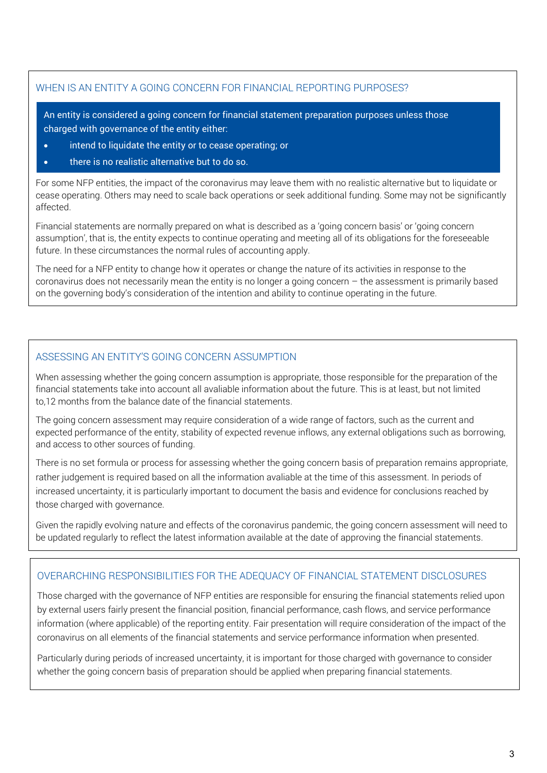#### WHEN IS AN ENTITY A GOING CONCERN FOR FINANCIAL REPORTING PURPOSES?

An entity is considered a going concern for financial statement preparation purposes unless those charged with governance of the entity either:

- intend to liquidate the entity or to cease operating; or
- there is no realistic alternative but to do so.

j

For some NFP entities, the impact of the coronavirus may leave them with no realistic alternative but to liquidate or cease operating. Others may need to scale back operations or seek additional funding. Some may not be significantly affected.

Financial statements are normally prepared on what is described as a 'going concern basis' or 'going concern assumption', that is, the entity expects to continue operating and meeting all of its obligations for the foreseeable future. In these circumstances the normal rules of accounting apply.

The need for a NFP entity to change how it operates or change the nature of its activities in response to the coronavirus does not necessarily mean the entity is no longer a going concern – the assessment is primarily based on the governing body's consideration of the intention and ability to continue operating in the future.

#### ASSESSING AN ENTITY'S GOING CONCERN ASSUMPTION

When assessing whether the going concern assumption is appropriate, those responsible for the preparation of the financial statements take into account all avaliable information about the future. This is at least, but not limited to,12 months from the balance date of the financial statements.

The going concern assessment may require consideration of a wide range of factors, such as the current and expected performance of the entity, stability of expected revenue inflows, any external obligations such as borrowing, and access to other sources of funding.

There is no set formula or process for assessing whether the going concern basis of preparation remains appropriate, rather judgement is required based on all the information avaliable at the time of this assessment. In periods of increased uncertainty, it is particularly important to document the basis and evidence for conclusions reached by those charged with governance.

Given the rapidly evolving nature and effects of the coronavirus pandemic, the going concern assessment will need to be updated regularly to reflect the latest information available at the date of approving the financial statements.

#### OVERARCHING RESPONSIBILITIES FOR THE ADEQUACY OF FINANCIAL STATEMENT DISCLOSURES

Those charged with the governance of NFP entities are responsible for ensuring the financial statements relied upon by external users fairly present the financial position, financial performance, cash flows, and service performance information (where applicable) of the reporting entity. Fair presentation will require consideration of the impact of the coronavirus on all elements of the financial statements and service performance information when presented.

Particularly during periods of increased uncertainty, it is important for those charged with governance to consider whether the going concern basis of preparation should be applied when preparing financial statements.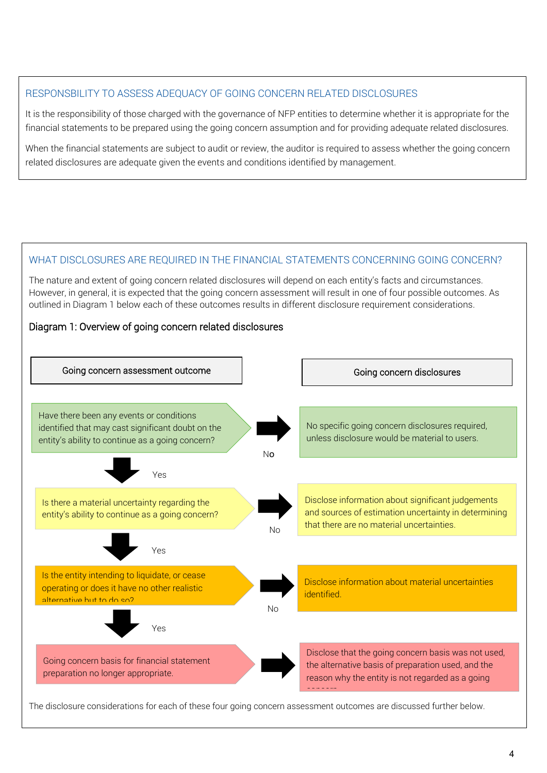#### RESPONSBILITY TO ASSESS ADEQUACY OF GOING CONCERN RELATED DISCLOSURES

It is the responsibility of those charged with the governance of NFP entities to determine whether it is appropriate for the financial statements to be prepared using the going concern assumption and for providing adequate related disclosures.

When the financial statements are subject to audit or review, the auditor is required to assess whether the going concern related disclosures are adequate given the events and conditions identified by management.

#### WHAT DISCLOSURES ARE REQUIRED IN THE FINANCIAL STATEMENTS CONCERNING GOING CONCERN?

The nature and extent of going concern related disclosures will depend on each entity's facts and circumstances. However, in general, it is expected that the going concern assessment will result in one of four possible outcomes. As outlined in Diagram 1 below each of these outcomes results in different disclosure requirement considerations.

#### Diagram 1: Overview of going concern related disclosures



The disclosure considerations for each of these four going concern assessment outcomes are discussed further below.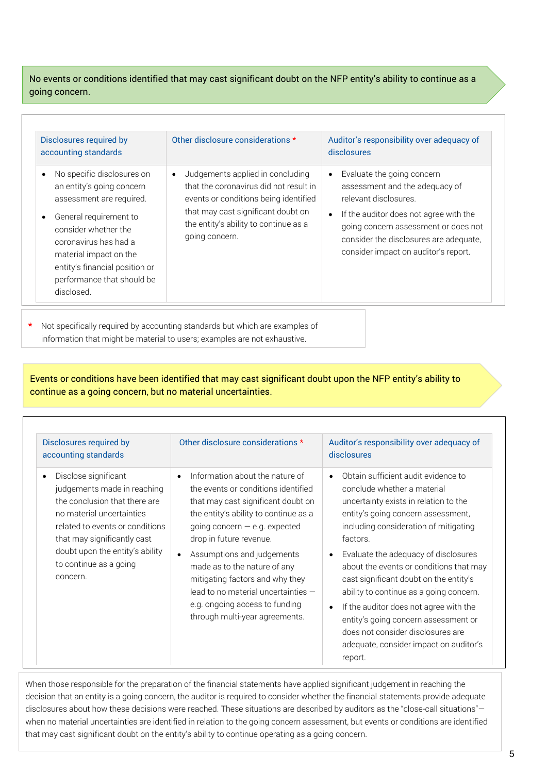No events or conditions identified that may cast significant doubt on the NFP entity's ability to continue as a going concern.

| Disclosures required by<br>accounting standards                                                                                                                                                                                                                                     | Other disclosure considerations *                                                                                                                                                                                    | Auditor's responsibility over adequacy of<br>disclosures                                                                                                                                                                                                  |
|-------------------------------------------------------------------------------------------------------------------------------------------------------------------------------------------------------------------------------------------------------------------------------------|----------------------------------------------------------------------------------------------------------------------------------------------------------------------------------------------------------------------|-----------------------------------------------------------------------------------------------------------------------------------------------------------------------------------------------------------------------------------------------------------|
| No specific disclosures on<br>$\bullet$<br>an entity's going concern<br>assessment are required.<br>General requirement to<br>consider whether the<br>coronavirus has had a<br>material impact on the<br>entity's financial position or<br>performance that should be<br>disclosed. | Judgements applied in concluding<br>that the coronavirus did not result in<br>events or conditions being identified<br>that may cast significant doubt on<br>the entity's ability to continue as a<br>going concern. | Evaluate the going concern<br>assessment and the adequacy of<br>relevant disclosures.<br>If the auditor does not agree with the<br>going concern assessment or does not<br>consider the disclosures are adequate,<br>consider impact on auditor's report. |

Not specifically required by accounting standards but which are examples of information that might be material to users; examples are not exhaustive.

Events or conditions have been identified that may cast significant doubt upon the NFP entity's ability to continue as a going concern, but no material uncertainties.

| Disclosures required by<br>accounting standards                                                                                                                                                                                                              | Other disclosure considerations *                                                                                                                                                                                                                                                                                                                                                                                                              | Auditor's responsibility over adequacy of<br>disclosures                                                                                                                                                                                                                                                                                                                                                                                                                                                                                                   |
|--------------------------------------------------------------------------------------------------------------------------------------------------------------------------------------------------------------------------------------------------------------|------------------------------------------------------------------------------------------------------------------------------------------------------------------------------------------------------------------------------------------------------------------------------------------------------------------------------------------------------------------------------------------------------------------------------------------------|------------------------------------------------------------------------------------------------------------------------------------------------------------------------------------------------------------------------------------------------------------------------------------------------------------------------------------------------------------------------------------------------------------------------------------------------------------------------------------------------------------------------------------------------------------|
| Disclose significant<br>judgements made in reaching<br>the conclusion that there are<br>no material uncertainties<br>related to events or conditions<br>that may significantly cast<br>doubt upon the entity's ability<br>to continue as a going<br>concern. | Information about the nature of<br>$\bullet$<br>the events or conditions identified<br>that may cast significant doubt on<br>the entity's ability to continue as a<br>going concern $-$ e.g. expected<br>drop in future revenue.<br>Assumptions and judgements<br>made as to the nature of any<br>mitigating factors and why they<br>lead to no material uncertainties $-$<br>e.g. ongoing access to funding<br>through multi-year agreements. | Obtain sufficient audit evidence to<br>conclude whether a material<br>uncertainty exists in relation to the<br>entity's going concern assessment,<br>including consideration of mitigating<br>factors.<br>Evaluate the adequacy of disclosures<br>about the events or conditions that may<br>cast significant doubt on the entity's<br>ability to continue as a going concern.<br>If the auditor does not agree with the<br>entity's going concern assessment or<br>does not consider disclosures are<br>adequate, consider impact on auditor's<br>report. |

When those responsible for the preparation of the financial statements have applied significant judgement in reaching the decision that an entity is a going concern, the auditor is required to consider whether the financial statements provide adequate disclosures about how these decisions were reached. These situations are described by auditors as the "close-call situations" when no material uncertainties are identified in relation to the going concern assessment, but events or conditions are identified that may cast significant doubt on the entity's ability to continue operating as a going concern.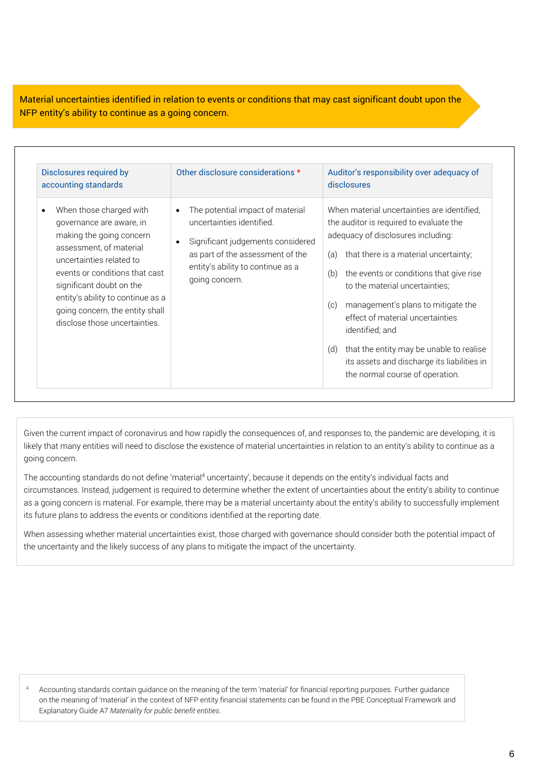Material uncertainties identified in relation to events or conditions that may cast significant doubt upon the NFP entity's ability to continue as a going concern.

| Disclosures required by<br>accounting standards                                                                                                                                                                                                                                                               | Other disclosure considerations *                                                                                                                                                                                       | Auditor's responsibility over adequacy of<br>disclosures                                                                                                                                                                                                                                                                                                                                                                                                                                                  |
|---------------------------------------------------------------------------------------------------------------------------------------------------------------------------------------------------------------------------------------------------------------------------------------------------------------|-------------------------------------------------------------------------------------------------------------------------------------------------------------------------------------------------------------------------|-----------------------------------------------------------------------------------------------------------------------------------------------------------------------------------------------------------------------------------------------------------------------------------------------------------------------------------------------------------------------------------------------------------------------------------------------------------------------------------------------------------|
| When those charged with<br>governance are aware, in<br>making the going concern<br>assessment, of material<br>uncertainties related to<br>events or conditions that cast<br>significant doubt on the<br>entity's ability to continue as a<br>going concern, the entity shall<br>disclose those uncertainties. | The potential impact of material<br>$\bullet$<br>uncertainties identified.<br>Significant judgements considered<br>$\bullet$<br>as part of the assessment of the<br>entity's ability to continue as a<br>going concern. | When material uncertainties are identified,<br>the auditor is required to evaluate the<br>adequacy of disclosures including:<br>that there is a material uncertainty;<br>(a)<br>the events or conditions that give rise<br>(b)<br>to the material uncertainties;<br>management's plans to mitigate the<br>(c)<br>effect of material uncertainties<br>identified; and<br>that the entity may be unable to realise<br>(d)<br>its assets and discharge its liabilities in<br>the normal course of operation. |

Given the current impact of coronavirus and how rapidly the consequences of, and responses to, the pandemic are developing, it is likely that many entities will need to disclose the existence of material uncertainties in relation to an entity's ability to continue as a going concern.

The accounting standards do not define 'material<sup>4</sup> uncertainty', because it depends on the entity's individual facts and as a going concern is material. For example, there may be a material uncertainty about the entity's ability to successfully implement its future plans to address the events or conditions identified at the reporting date. circumstances. Instead, judgement is required to determine whether the extent of uncertainties about the entity's ability to continue

 When assessing whether material uncertainties exist, those charged with governance should consider both the potential impact of the uncertainty and the likely success of any plans to mitigate the impact of the uncertainty.

 <sup>4</sup> Accounting standards contain guidance on the meaning of the term 'material' for financial reporting purposes. Further guidance on the meaning of 'material' in the context of NFP entity financial statements can be found in the PBE Conceptual Framework and Explanatory Guide A7 *Materiality for public benefit entities*.

l